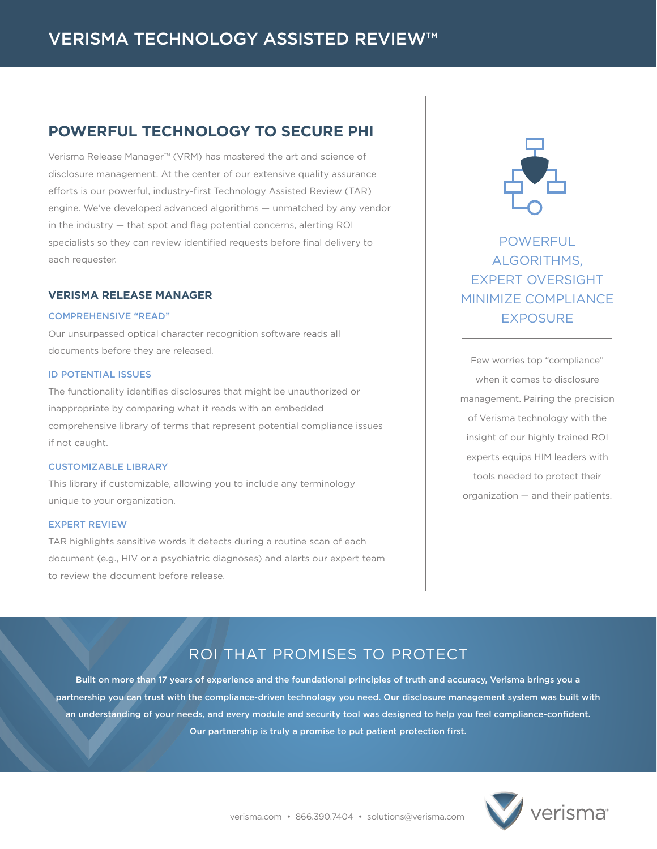## **POWERFUL TECHNOLOGY TO SECURE PHI**

Verisma Release Manager™ (VRM) has mastered the art and science of disclosure management. At the center of our extensive quality assurance efforts is our powerful, industry-first Technology Assisted Review (TAR) engine. We've developed advanced algorithms — unmatched by any vendor in the industry — that spot and flag potential concerns, alerting ROI specialists so they can review identified requests before final delivery to each requester.

## **VERISMA RELEASE MANAGER**

## COMPREHENSIVE "READ"

Our unsurpassed optical character recognition software reads all documents before they are released.

## ID POTENTIAL ISSUES

The functionality identifies disclosures that might be unauthorized or inappropriate by comparing what it reads with an embedded comprehensive library of terms that represent potential compliance issues if not caught.

## CUSTOMIZABLE LIBRARY

This library if customizable, allowing you to include any terminology unique to your organization.

#### EXPERT REVIEW

TAR highlights sensitive words it detects during a routine scan of each document (e.g., HIV or a psychiatric diagnoses) and alerts our expert team to review the document before release.



POWERFUL ALGORITHMS, EXPERT OVERSIGHT MINIMIZE COMPLIANCE EXPOSURE

Few worries top "compliance" when it comes to disclosure management. Pairing the precision of Verisma technology with the insight of our highly trained ROI experts equips HIM leaders with tools needed to protect their organization — and their patients.

# ROI THAT PROMISES TO PROTECT

Built on more than 17 years of experience and the foundational principles of truth and accuracy, Verisma brings you a partnership you can trust with the compliance-driven technology you need. Our disclosure management system was built with an understanding of your needs, and every module and security tool was designed to help you feel compliance-confident. Our partnership is truly a promise to put patient protection first.